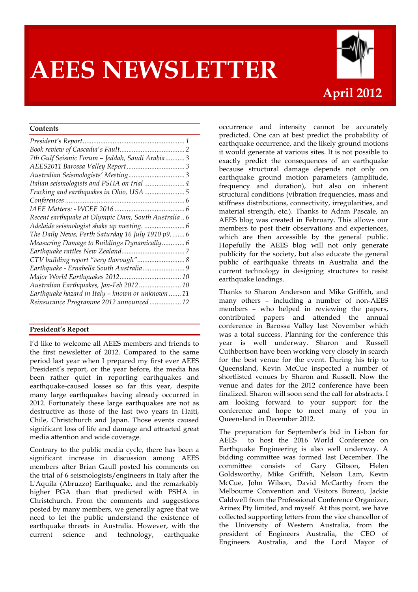# **AEES NEWSLETTER**



# **Contents**

| 7th Gulf Seismic Forum - Jeddah, Saudi Arabia3     |  |
|----------------------------------------------------|--|
|                                                    |  |
|                                                    |  |
| Italian seismologists and PSHA on trial  4         |  |
| Fracking and earthquakes in Ohio, USA 5            |  |
|                                                    |  |
|                                                    |  |
| Recent earthquake at Olympic Dam, South Australia6 |  |
|                                                    |  |
| The Daily News, Perth Saturday 16 July 1910 p96    |  |
| Measuring Damage to Buildings Dynamically6         |  |
|                                                    |  |
|                                                    |  |
|                                                    |  |
|                                                    |  |
| Australian Earthquakes, Jan-Feb 2012 10            |  |
| Earthquake hazard in Italy - known or unknown  11  |  |
| Reinsurance Programme 2012 announced  12           |  |
|                                                    |  |

# **President's Report**

I'd like to welcome all AEES members and friends to the first newsletter of 2012. Compared to the same period last year when I prepared my first ever AEES President's report, or the year before, the media has been rather quiet in reporting earthquakes and earthquake-caused losses so far this year, despite many large earthquakes having already occurred in 2012. Fortunately these large earthquakes are not as destructive as those of the last two years in Haiti, Chile, Christchurch and Japan. Those events caused significant loss of life and damage and attracted great media attention and wide coverage.

Contrary to the public media cycle, there has been a significant increase in discussion among AEES members after Brian Gaull posted his comments on the trial of 6 seismologists/engineers in Italy after the L'Aquila (Abruzzo) Earthquake, and the remarkably higher PGA than that predicted with PSHA in Christchurch. From the comments and suggestions posted by many members, we generally agree that we need to let the public understand the existence of earthquake threats in Australia. However, with the current science and technology, earthquake occurrence and intensity cannot be accurately predicted. One can at best predict the probability of earthquake occurrence, and the likely ground motions it would generate at various sites. It is not possible to exactly predict the consequences of an earthquake because structural damage depends not only on earthquake ground motion parameters (amplitude, frequency and duration), but also on inherent structural conditions (vibration frequencies, mass and stiffness distributions, connectivity, irregularities, and material strength, etc.). Thanks to Adam Pascale, an AEES blog was created in February. This allows our members to post their observations and experiences, which are then accessible by the general public. Hopefully the AEES blog will not only generate publicity for the society, but also educate the general public of earthquake threats in Australia and the current technology in designing structures to resist earthquake loadings.

Thanks to Sharon Anderson and Mike Griffith, and many others – including a number of non-AEES members – who helped in reviewing the papers, contributed papers and attended the annual conference in Barossa Valley last November which was a total success. Planning for the conference this year is well underway. Sharon and Russell Cuthbertson have been working very closely in search for the best venue for the event. During his trip to Queensland, Kevin McCue inspected a number of shortlisted venues by Sharon and Russell. Now the venue and dates for the 2012 conference have been finalized. Sharon will soon send the call for abstracts. I am looking forward to your support for the conference and hope to meet many of you in Queensland in December 2012.

The preparation for September's bid in Lisbon for AEES to host the 2016 World Conference on Earthquake Engineering is also well underway. A bidding committee was formed last December. The committee consists of Gary Gibson, Helen Goldsworthy, Mike Griffith, Nelson Lam, Kevin McCue, John Wilson, David McCarthy from the Melbourne Convention and Visitors Bureau, Jackie Caldwell from the Professional Conference Organizer, Arinex Pty limited, and myself. At this point, we have collected supporting letters from the vice chancellor of the University of Western Australia, from the president of Engineers Australia, the CEO of Engineers Australia, and the Lord Mayor of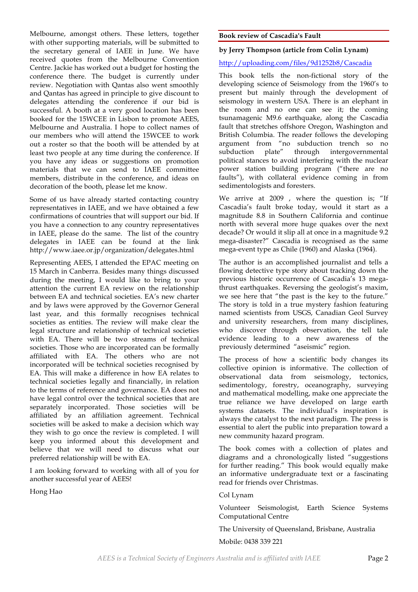Melbourne, amongst others. These letters, together with other supporting materials, will be submitted to the secretary general of IAEE in June. We have received quotes from the Melbourne Convention Centre. Jackie has worked out a budget for hosting the conference there. The budget is currently under review. Negotiation with Qantas also went smoothly and Qantas has agreed in principle to give discount to delegates attending the conference if our bid is successful. A booth at a very good location has been booked for the 15WCEE in Lisbon to promote AEES, Melbourne and Australia. I hope to collect names of our members who will attend the 15WCEE to work out a roster so that the booth will be attended by at least two people at any time during the conference. If you have any ideas or suggestions on promotion materials that we can send to IAEE committee members, distribute in the conference, and ideas on decoration of the booth, please let me know.

Some of us have already started contacting country representatives in IAEE, and we have obtained a few confirmations of countries that will support our bid. If you have a connection to any country representatives in IAEE, please do the same. The list of the country delegates in IAEE can be found at the link http://www.iaee.or.jp/organization/delegates.html

Representing AEES, I attended the EPAC meeting on 15 March in Canberra. Besides many things discussed during the meeting, I would like to bring to your attention the current EA review on the relationship between EA and technical societies. EA's new charter and by laws were approved by the Governor General last year, and this formally recognises technical societies as entities. The review will make clear the legal structure and relationship of technical societies with EA. There will be two streams of technical societies. Those who are incorporated can be formally affiliated with EA. The others who are not incorporated will be technical societies recognised by EA. This will make a difference in how EA relates to technical societies legally and financially, in relation to the terms of reference and governance. EA does not have legal control over the technical societies that are separately incorporated. Those societies will be affiliated by an affiliation agreement. Technical societies will be asked to make a decision which way they wish to go once the review is completed. I will keep you informed about this development and believe that we will need to discuss what our preferred relationship will be with EA.

I am looking forward to working with all of you for another successful year of AEES!

Hong Hao

# **Book review of Cascadia's Fault**

# **by Jerry Thompson (article from Colin Lynam)**

# http://uploading.com/files/9d1252b8/Cascadia

This book tells the non-fictional story of the developing science of Seismology from the 1960's to present but mainly through the development of seismology in western USA. There is an elephant in the room and no one can see it; the coming tsunamagenic M9.6 earthquake, along the Cascadia fault that stretches offshore Oregon, Washington and British Columbia. The reader follows the developing argument from "no subduction trench so no subduction plate" through intergovernmental political stances to avoid interfering with the nuclear power station building program ("there are no faults"), with collateral evidence coming in from sedimentologists and foresters.

We arrive at 2009 , where the question is; "If Cascadia's fault broke today, would it start as a magnitude 8.8 in Southern California and continue north with several more huge quakes over the next decade? Or would it slip all at once in a magnitude 9.2 mega-disaster?" Cascadia is recognised as the same mega-event type as Chile (1960) and Alaska (1964).

The author is an accomplished journalist and tells a flowing detective type story about tracking down the previous historic occurrence of Cascadia's 13 megathrust earthquakes. Reversing the geologist's maxim, we see here that "the past is the key to the future." The story is told in a true mystery fashion featuring named scientists from USGS, Canadian Geol Survey and university researchers, from many disciplines, who discover through observation, the tell tale evidence leading to a new awareness of the previously determined "aseismic" region.

The process of how a scientific body changes its collective opinion is informative. The collection of observational data from seismology, tectonics, sedimentology, forestry, oceanography, surveying and mathematical modelling, make one appreciate the true reliance we have developed on large earth systems datasets. The individual's inspiration is always the catalyst to the next paradigm. The press is essential to alert the public into preparation toward a new community hazard program.

The book comes with a collection of plates and diagrams and a chronologically listed "suggestions for further reading." This book would equally make an informative undergraduate text or a fascinating read for friends over Christmas.

# Col Lynam

Volunteer Seismologist, Earth Science Systems Computational Centre

The University of Queensland, Brisbane, Australia

Mobile: 0438 339 221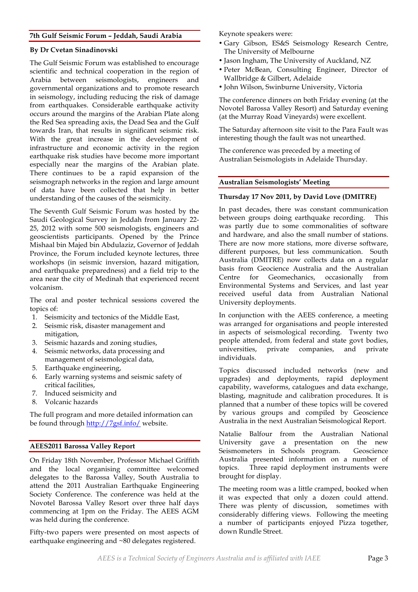#### **7th Gulf Seismic Forum – Jeddah, Saudi Arabia**

# **By Dr Cvetan Sinadinovski**

The Gulf Seismic Forum was established to encourage scientific and technical cooperation in the region of Arabia between seismologists, engineers and governmental organizations and to promote research in seismology, including reducing the risk of damage from earthquakes. Considerable earthquake activity occurs around the margins of the Arabian Plate along the Red Sea spreading axis, the Dead Sea and the Gulf towards Iran, that results in significant seismic risk. With the great increase in the development of infrastructure and economic activity in the region earthquake risk studies have become more important especially near the margins of the Arabian plate. There continues to be a rapid expansion of the seismograph networks in the region and large amount of data have been collected that help in better understanding of the causes of the seismicity.

The Seventh Gulf Seismic Forum was hosted by the Saudi Geological Survey in Jeddah from January 22- 25, 2012 with some 500 seismologists, engineers and geoscientists participants. Opened by the Prince Mishaal bin Majed bin Abdulaziz, Governor of Jeddah Province, the Forum included keynote lectures, three workshops (in seismic inversion, hazard mitigation, and earthquake preparedness) and a field trip to the area near the city of Medinah that experienced recent volcanism.

The oral and poster technical sessions covered the topics of:

- 1. Seismicity and tectonics of the Middle East,
- 2. Seismic risk, disaster management and mitigation,
- 3. Seismic hazards and zoning studies,
- 4. Seismic networks, data processing and management of seismological data,
- 5. Earthquake engineering,
- 6. Early warning systems and seismic safety of critical facilities,
- 7. Induced seismicity and
- 8. Volcanic hazards

The full program and more detailed information can be found through http://7gsf.info/ website.

# **AEES2011 Barossa Valley Report**

On Friday 18th November, Professor Michael Griffith and the local organising committee welcomed delegates to the Barossa Valley, South Australia to attend the 2011 Australian Earthquake Engineering Society Conference. The conference was held at the Novotel Barossa Valley Resort over three half days commencing at 1pm on the Friday. The AEES AGM was held during the conference.

Fifty-two papers were presented on most aspects of earthquake engineering and ~80 delegates registered.

Keynote speakers were:

- Gary Gibson, ES&S Seismology Research Centre, The University of Melbourne
- Jason Ingham, The University of Auckland, NZ
- Peter McBean, Consulting Engineer, Director of Wallbridge & Gilbert, Adelaide
- John Wilson, Swinburne University, Victoria

The conference dinners on both Friday evening (at the Novotel Barossa Valley Resort) and Saturday evening (at the Murray Road Vineyards) were excellent.

The Saturday afternoon site visit to the Para Fault was interesting though the fault was not unearthed.

The conference was preceded by a meeting of Australian Seismologists in Adelaide Thursday.

# **Australian Seismologists' Meeting**

# **Thursday 17 Nov 2011, by David Love (DMITRE)**

In past decades, there was constant communication between groups doing earthquake recording. This was partly due to some commonalities of software and hardware, and also the small number of stations. There are now more stations, more diverse software, different purposes, but less communication. South Australia (DMITRE) now collects data on a regular basis from Geocience Australia and the Australian Centre for Geomechanics, occasionally from Environmental Systems and Services, and last year received useful data from Australian National University deployments.

In conjunction with the AEES conference, a meeting was arranged for organisations and people interested in aspects of seismological recording. Twenty two people attended, from federal and state govt bodies, universities, private companies, and private individuals.

Topics discussed included networks (new and upgrades) and deployments, rapid deployment capability, waveforms, catalogues and data exchange, blasting, magnitude and calibration procedures. It is planned that a number of these topics will be covered by various groups and compiled by Geoscience Australia in the next Australian Seismological Report.

Natalie Balfour from the Australian National University gave a presentation on the new Seismometers in Schools program. Geoscience Australia presented information on a number of topics. Three rapid deployment instruments were brought for display.

The meeting room was a little cramped, booked when it was expected that only a dozen could attend. There was plenty of discussion, sometimes with considerably differing views. Following the meeting a number of participants enjoyed Pizza together, down Rundle Street.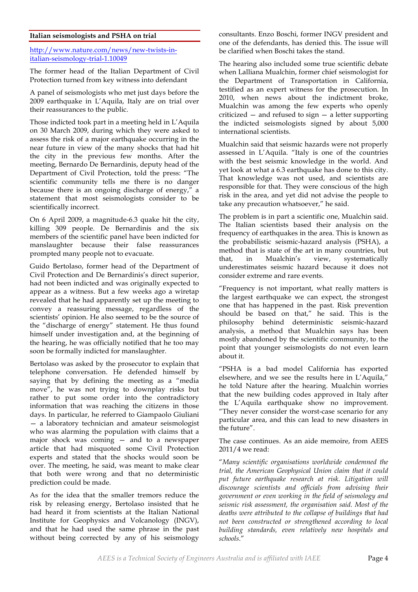# **Italian seismologists and PSHA on trial**

http://www.nature.com/news/new-twists-initalian-seismology-trial-1.10049

The former head of the Italian Department of Civil Protection turned from key witness into defendant

A panel of seismologists who met just days before the 2009 earthquake in L'Aquila, Italy are on trial over their reassurances to the public.

Those indicted took part in a meeting held in L'Aquila on 30 March 2009, during which they were asked to assess the risk of a major earthquake occurring in the near future in view of the many shocks that had hit the city in the previous few months. After the meeting, Bernardo De Bernardinis, deputy head of the Department of Civil Protection, told the press: "The scientific community tells me there is no danger because there is an ongoing discharge of energy," a statement that most seismologists consider to be scientifically incorrect.

On 6 April 2009, a magnitude-6.3 quake hit the city, killing 309 people. De Bernardinis and the six members of the scientific panel have been indicted for manslaughter because their false reassurances prompted many people not to evacuate.

Guido Bertolaso, former head of the Department of Civil Protection and De Bernardinis's direct superior, had not been indicted and was originally expected to appear as a witness. But a few weeks ago a wiretap revealed that he had apparently set up the meeting to convey a reassuring message, regardless of the scientists' opinion. He also seemed to be the source of the "discharge of energy" statement. He thus found himself under investigation and, at the beginning of the hearing, he was officially notified that he too may soon be formally indicted for manslaughter.

Bertolaso was asked by the prosecutor to explain that telephone conversation. He defended himself by saying that by defining the meeting as a "media move", he was not trying to downplay risks but rather to put some order into the contradictory information that was reaching the citizens in those days. In particular, he referred to Giampaolo Giuliani — a laboratory technician and amateur seismologist who was alarming the population with claims that a major shock was coming — and to a newspaper article that had misquoted some Civil Protection experts and stated that the shocks would soon be over. The meeting, he said, was meant to make clear that both were wrong and that no deterministic prediction could be made.

As for the idea that the smaller tremors reduce the risk by releasing energy, Bertolaso insisted that he had heard it from scientists at the Italian National Institute for Geophysics and Volcanology (INGV), and that he had used the same phrase in the past without being corrected by any of his seismology

consultants. Enzo Boschi, former INGV president and one of the defendants, has denied this. The issue will be clarified when Boschi takes the stand.

The hearing also included some true scientific debate when Lalliana Mualchin, former chief seismologist for the Department of Transportation in California, testified as an expert witness for the prosecution. In 2010, when news about the indictment broke, Mualchin was among the few experts who openly criticized — and refused to sign — a letter supporting the indicted seismologists signed by about 5,000 international scientists.

Mualchin said that seismic hazards were not properly assessed in L'Aquila. "Italy is one of the countries with the best seismic knowledge in the world. And yet look at what a 6.3 earthquake has done to this city. That knowledge was not used, and scientists are responsible for that. They were conscious of the high risk in the area, and yet did not advise the people to take any precaution whatsoever," he said.

The problem is in part a scientific one, Mualchin said. The Italian scientists based their analysis on the frequency of earthquakes in the area. This is known as the probabilistic seismic-hazard analysis (PSHA), a method that is state of the art in many countries, but that, in Mualchin's view, systematically underestimates seismic hazard because it does not consider extreme and rare events.

"Frequency is not important, what really matters is the largest earthquake we can expect, the strongest one that has happened in the past. Risk prevention should be based on that," he said. This is the philosophy behind deterministic seismic-hazard analysis, a method that Mualchin says has been mostly abandoned by the scientific community, to the point that younger seismologists do not even learn about it.

"PSHA is a bad model California has exported elsewhere, and we see the results here in L'Aquila," he told Nature after the hearing. Mualchin worries that the new building codes approved in Italy after the L'Aquila earthquake show no improvement. "They never consider the worst-case scenario for any particular area, and this can lead to new disasters in the future".

The case continues. As an aide memoire, from AEES 2011/4 we read:

"*Many scientific organisations worldwide condemned the trial, the American Geophysical Union claim that it could put future earthquake research at risk. Litigation will discourage scientists and officials from advising their government or even working in the field of seismology and seismic risk assessment, the organisation said. Most of the deaths were attributed to the collapse of buildings that had not been constructed or strengthened according to local building standards, even relatively new hospitals and schools*."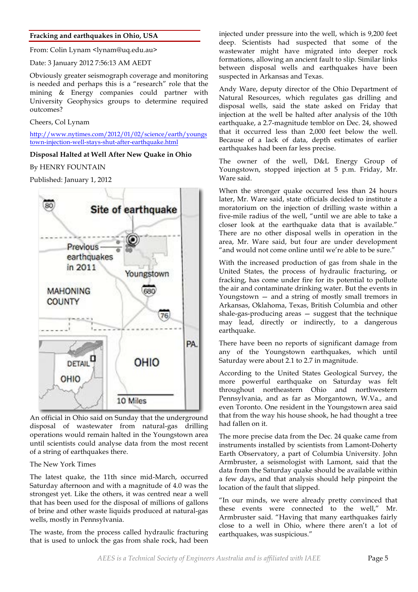# **Fracking and earthquakes in Ohio, USA**

From: Colin Lynam <lynam@uq.edu.au>

Date: 3 January 2012 7:56:13 AM AEDT

Obviously greater seismograph coverage and monitoring is needed and perhaps this is a "research" role that the mining & Energy companies could partner with University Geophysics groups to determine required outcomes?

Cheers, Col Lynam

http://www.nytimes.com/2012/01/02/science/earth/youngs town-injection-well-stays-shut-after-earthquake.html

**Disposal Halted at Well After New Quake in Ohio**

By HENRY FOUNTAIN

Published: January 1, 2012



An official in Ohio said on Sunday that the underground disposal of wastewater from natural-gas drilling operations would remain halted in the Youngstown area until scientists could analyse data from the most recent of a string of earthquakes there.

# The New York Times

The latest quake, the 11th since mid-March, occurred Saturday afternoon and with a magnitude of 4.0 was the strongest yet. Like the others, it was centred near a well that has been used for the disposal of millions of gallons of brine and other waste liquids produced at natural-gas wells, mostly in Pennsylvania.

The waste, from the process called hydraulic fracturing that is used to unlock the gas from shale rock, had been injected under pressure into the well, which is 9,200 feet deep. Scientists had suspected that some of the wastewater might have migrated into deeper rock formations, allowing an ancient fault to slip. Similar links between disposal wells and earthquakes have been suspected in Arkansas and Texas.

Andy Ware, deputy director of the Ohio Department of Natural Resources, which regulates gas drilling and disposal wells, said the state asked on Friday that injection at the well be halted after analysis of the 10th earthquake, a 2.7-magnitude temblor on Dec. 24, showed that it occurred less than 2,000 feet below the well. Because of a lack of data, depth estimates of earlier earthquakes had been far less precise.

The owner of the well, D&L Energy Group of Youngstown, stopped injection at 5 p.m. Friday, Mr. Ware said.

When the stronger quake occurred less than 24 hours later, Mr. Ware said, state officials decided to institute a moratorium on the injection of drilling waste within a five-mile radius of the well, "until we are able to take a closer look at the earthquake data that is available." There are no other disposal wells in operation in the area, Mr. Ware said, but four are under development "and would not come online until we're able to be sure."

With the increased production of gas from shale in the United States, the process of hydraulic fracturing, or fracking, has come under fire for its potential to pollute the air and contaminate drinking water. But the events in Youngstown — and a string of mostly small tremors in Arkansas, Oklahoma, Texas, British Columbia and other shale-gas-producing areas — suggest that the technique may lead, directly or indirectly, to a dangerous earthquake.

There have been no reports of significant damage from any of the Youngstown earthquakes, which until Saturday were about 2.1 to 2.7 in magnitude.

According to the United States Geological Survey, the more powerful earthquake on Saturday was felt throughout northeastern Ohio and northwestern Pennsylvania, and as far as Morgantown, W.Va., and even Toronto. One resident in the Youngstown area said that from the way his house shook, he had thought a tree had fallen on it.

The more precise data from the Dec. 24 quake came from instruments installed by scientists from Lamont-Doherty Earth Observatory, a part of Columbia University. John Armbruster, a seismologist with Lamont, said that the data from the Saturday quake should be available within a few days, and that analysis should help pinpoint the location of the fault that slipped.

"In our minds, we were already pretty convinced that these events were connected to the well," Mr. Armbruster said. "Having that many earthquakes fairly close to a well in Ohio, where there aren't a lot of earthquakes, was suspicious."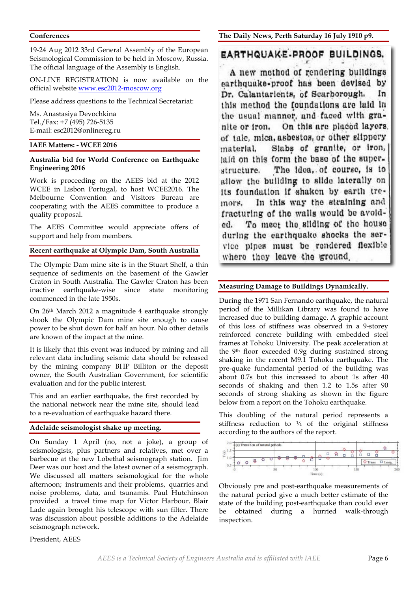#### **Conferences**

19-24 Aug 2012 33rd General Assembly of the European Seismological Commission to be held in Moscow, Russia. The official language of the Assembly is English.

ON-LINE REGISTRATION is now available on the official website www.esc2012-moscow.org

Please address questions to the Technical Secretariat:

Ms. Anastasiya Devochkina Tel./Fax: +7 (495) 726-5135 E-mail: esc2012@onlinereg.ru

#### **IAEE Matters: - WCEE 2016**

#### **Australia bid for World Conference on Earthquake Engineering 2016**

Work is proceeding on the AEES bid at the 2012 WCEE in Lisbon Portugal, to host WCEE2016. The Melbourne Convention and Visitors Bureau are cooperating with the AEES committee to produce a quality proposal.

The AEES Committee would appreciate offers of support and help from members.

# **Recent earthquake at Olympic Dam, South Australia**

The Olympic Dam mine site is in the Stuart Shelf, a thin sequence of sediments on the basement of the Gawler Craton in South Australia. The Gawler Craton has been inactive earthquake-wise since state monitoring commenced in the late 1950s.

On 26th March 2012 a magnitude 4 earthquake strongly shook the Olympic Dam mine site enough to cause power to be shut down for half an hour. No other details are known of the impact at the mine.

It is likely that this event was induced by mining and all relevant data including seismic data should be released by the mining company BHP Billiton or the deposit owner, the South Australian Government, for scientific evaluation and for the public interest.

This and an earlier earthquake, the first recorded by the national network near the mine site, should lead to a re-evaluation of earthquake hazard there.

#### **Adelaide seismologist shake up meeting.**

On Sunday 1 April (no, not a joke), a group of seismologists, plus partners and relatives, met over a barbecue at the new Lobethal seismograph station. Jim Deer was our host and the latest owner of a seismograph. We discussed all matters seismological for the whole afternoon; instruments and their problems, quarries and noise problems, data, and tsunamis. Paul Hutchinson provided a travel time map for Victor Harbour. Blair Lade again brought his telescope with sun filter. There was discussion about possible additions to the Adelaide seismograph network.

President, AEES

**The Daily News, Perth Saturday 16 July 1910 p9.** 

# EARTHQUAKE-PROOF BUILDINGS.

A new mothod of rendering buildings earthquake-proof has been devised by Dr. Calantarients, of Scarborough. In this method the foundations are laid in the usual manner, and faced with granite or iron. On this are placed layers. of tale, mica, asbestos, or other slippery Slabs of granite, or iron, material. laid on this form the base of the super-The idea, of course, is to structure. allow the building to slide laterally on its foundation if shaken by earth tre-In this way the straining and mors. fracturing of the walls would be avoid-To meet the sliding of the house ed. during the earthquake shocks the service pipes must be rendered flexible where they leave the ground.

#### **Measuring Damage to Buildings Dynamically.**

During the 1971 San Fernando earthquake, the natural period of the Millikan Library was found to have increased due to building damage. A graphic account of this loss of stiffness was observed in a 9-storey reinforced concrete building with embedded steel frames at Tohoku University. The peak acceleration at the 9th floor exceeded 0.9g during sustained strong shaking in the recent M9.1 Tohoku earthquake. The pre-quake fundamental period of the building was about 0.7s but this increased to about 1s after 40 seconds of shaking and then 1.2 to 1.5s after 90 seconds of strong shaking as shown in the figure below from a report on the Tohoku earthquake.

This doubling of the natural period represents a stiffness reduction to  $\frac{1}{4}$  of the original stiffness according to the authors of the report.



Obviously pre and post-earthquake measurements of the natural period give a much better estimate of the state of the building post-earthquake than could ever be obtained during a hurried walk-through inspection.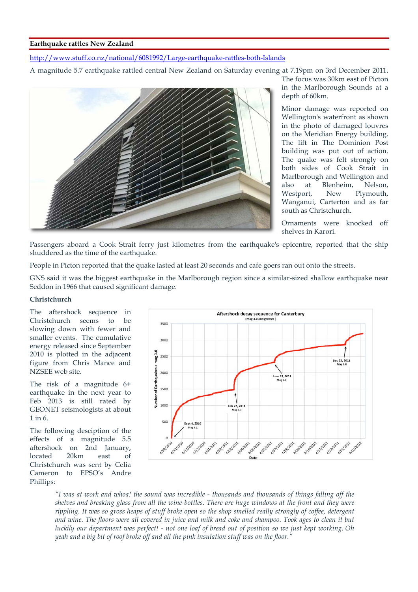#### **Earthquake rattles New Zealand**

http://www.stuff.co.nz/national/6081992/Large-earthquake-rattles-both-Islands

A magnitude 5.7 earthquake rattled central New Zealand on Saturday evening at 7.19pm on 3rd December 2011. The focus was 30km east of Picton



in the Marlborough Sounds at a depth of 60km.

Minor damage was reported on Wellington's waterfront as shown in the photo of damaged louvres on the Meridian Energy building. The lift in The Dominion Post building was put out of action. The quake was felt strongly on both sides of Cook Strait in Marlborough and Wellington and also at Blenheim, Nelson, Westport, New Plymouth, Wanganui, Carterton and as far south as Christchurch.

Ornaments were knocked off shelves in Karori.

Passengers aboard a Cook Strait ferry just kilometres from the earthquake's epicentre, reported that the ship shuddered as the time of the earthquake.

People in Picton reported that the quake lasted at least 20 seconds and cafe goers ran out onto the streets.

GNS said it was the biggest earthquake in the Marlborough region since a similar-sized shallow earthquake near Seddon in 1966 that caused significant damage.

#### **Christchurch**

The aftershock sequence in Christchurch seems to be slowing down with fewer and smaller events. The cumulative energy released since September 2010 is plotted in the adjacent figure from Chris Mance and NZSEE web site.

The risk of a magnitude 6+ earthquake in the next year to Feb 2013 is still rated by GEONET seismologists at about 1 in 6.

The following desciption of the effects of a magnitude 5.5 aftershock on 2nd January, located 20km east of Christchurch was sent by Celia Cameron to EPSO's Andre Phillips:



*"I was at work and whoa! the sound was incredible - thousands and thousands of things falling off the shelves and breaking glass from all the wine bottles. There are huge windows at the front and they were rippling. It was so gross heaps of stuff broke open so the shop smelled really strongly of coffee, detergent and wine. The floors were all covered in juice and milk and coke and shampoo. Took ages to clean it but luckily our department was perfect! - not one loaf of bread out of position so we just kept working. Oh yeah and a big bit of roof broke off and all the pink insulation stuff was on the floor."*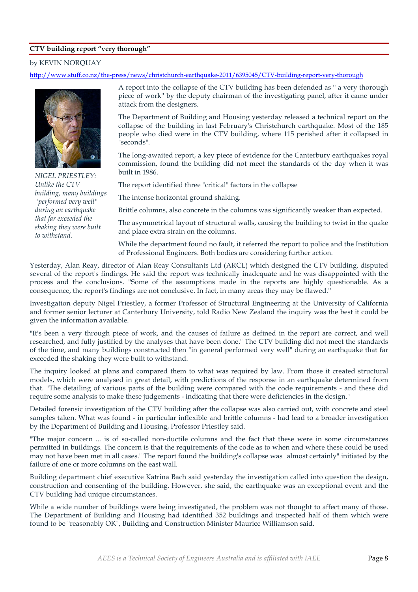# **CTV building report "very thorough"**

# by KEVIN NORQUAY

http://www.stuff.co.nz/the-press/news/christchurch-earthquake-2011/6395045/CTV-building-report-very-thorough



*NIGEL PRIESTLEY: Unlike the CTV building, many buildings "performed very well" during an earthquake that far exceeded the shaking they were built to withstand.*

A report into the collapse of the CTV building has been defended as '' a very thorough piece of work'' by the deputy chairman of the investigating panel, after it came under attack from the designers.

The Department of Building and Housing yesterday released a technical report on the collapse of the building in last February's Christchurch earthquake. Most of the 185 people who died were in the CTV building, where 115 perished after it collapsed in "seconds".

The long-awaited report, a key piece of evidence for the Canterbury earthquakes royal commission, found the building did not meet the standards of the day when it was built in 1986.

The report identified three "critical" factors in the collapse

The intense horizontal ground shaking.

Brittle columns, also concrete in the columns was significantly weaker than expected.

The asymmetrical layout of structural walls, causing the building to twist in the quake and place extra strain on the columns.

While the department found no fault, it referred the report to police and the Institution of Professional Engineers. Both bodies are considering further action.

Yesterday, Alan Reay, director of Alan Reay Consultants Ltd (ARCL) which designed the CTV building, disputed several of the report's findings. He said the report was technically inadequate and he was disappointed with the process and the conclusions. ''Some of the assumptions made in the reports are highly questionable. As a consequence, the report's findings are not conclusive. In fact, in many areas they may be flawed.''

Investigation deputy Nigel Priestley, a former Professor of Structural Engineering at the University of California and former senior lecturer at Canterbury University, told Radio New Zealand the inquiry was the best it could be given the information available.

"It's been a very through piece of work, and the causes of failure as defined in the report are correct, and well researched, and fully justified by the analyses that have been done." The CTV building did not meet the standards of the time, and many buildings constructed then "in general performed very well" during an earthquake that far exceeded the shaking they were built to withstand.

The inquiry looked at plans and compared them to what was required by law. From those it created structural models, which were analysed in great detail, with predictions of the response in an earthquake determined from that. "The detailing of various parts of the building were compared with the code requirements - and these did require some analysis to make these judgements - indicating that there were deficiencies in the design."

Detailed forensic investigation of the CTV building after the collapse was also carried out, with concrete and steel samples taken. What was found - in particular inflexible and brittle columns - had lead to a broader investigation by the Department of Building and Housing, Professor Priestley said.

"The major concern ... is of so-called non-ductile columns and the fact that these were in some circumstances permitted in buildings. The concern is that the requirements of the code as to when and where these could be used may not have been met in all cases." The report found the building's collapse was "almost certainly" initiated by the failure of one or more columns on the east wall.

Building department chief executive Katrina Bach said yesterday the investigation called into question the design, construction and consenting of the building. However, she said, the earthquake was an exceptional event and the CTV building had unique circumstances.

While a wide number of buildings were being investigated, the problem was not thought to affect many of those. The Department of Building and Housing had identified 352 buildings and inspected half of them which were found to be "reasonably OK", Building and Construction Minister Maurice Williamson said.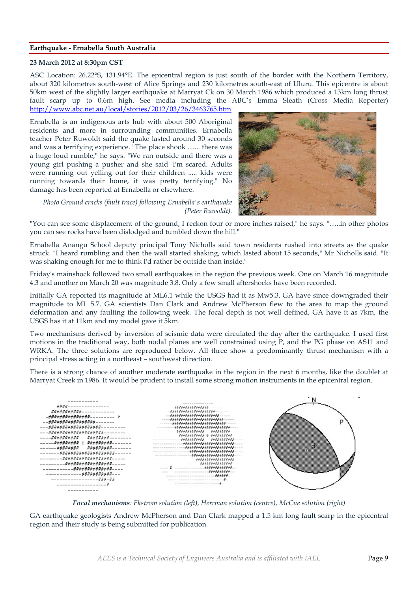# **Earthquake - Ernabella South Australia**

#### **23 March 2012 at 8:30pm CST**

ASC Location: 26.22°S, 131.94°E. The epicentral region is just south of the border with the Northern Territory, about 320 kilometres south-west of Alice Springs and 230 kilometres south-east of Uluru. This epicentre is about 50km west of the slightly larger earthquake at Marryat Ck on 30 March 1986 which produced a 13km long thrust fault scarp up to 0.6m high. See media including the ABC's Emma Sleath (Cross Media Reporter) http://www.abc.net.au/local/stories/2012/03/26/3463765.htm

Ernabella is an indigenous arts hub with about 500 Aboriginal residents and more in surrounding communities. Ernabella teacher Peter Ruwoldt said the quake lasted around 30 seconds and was a terrifying experience. "The place shook ....... there was a huge loud rumble," he says. "We ran outside and there was a young girl pushing a pusher and she said 'I'm scared. Adults were running out yelling out for their children ..... kids were running towards their home, it was pretty terrifying." No damage has been reported at Ernabella or elsewhere.



# *Photo Ground cracks (fault trace) following Ernabella's earthquake (Peter Ruwoldt).*

"You can see some displacement of the ground, I reckon four or more inches raised," he says. "…..in other photos you can see rocks have been dislodged and tumbled down the hill."

Ernabella Anangu School deputy principal Tony Nicholls said town residents rushed into streets as the quake struck. "I heard rumbling and then the wall started shaking, which lasted about 15 seconds," Mr Nicholls said. "It was shaking enough for me to think I'd rather be outside than inside."

Friday's mainshock followed two small earthquakes in the region the previous week. One on March 16 magnitude 4.3 and another on March 20 was magnitude 3.8. Only a few small aftershocks have been recorded.

Initially GA reported its magnitude at ML6.1 while the USGS had it as Mw5.3. GA have since downgraded their magnitude to ML 5.7. GA scientists Dan Clark and Andrew McPherson flew to the area to map the ground deformation and any faulting the following week. The focal depth is not well defined, GA have it as 7km, the USGS has it at 11km and my model gave it 5km.

Two mechanisms derived by inversion of seismic data were circulated the day after the earthquake. I used first motions in the traditional way, both nodal planes are well constrained using P, and the PG phase on AS11 and WRKA. The three solutions are reproduced below. All three show a predominantly thrust mechanism with a principal stress acting in a northeast – southwest direction.

There is a strong chance of another moderate earthquake in the region in the next 6 months, like the doublet at Marryat Creek in 1986. It would be prudent to install some strong motion instruments in the epicentral region.



*Focal mechanisms: Ekstrom solution (left), Herrman solution (centre), McCue solution (right)*

GA earthquake geologists Andrew McPherson and Dan Clark mapped a 1.5 km long fault scarp in the epicentral region and their study is being submitted for publication.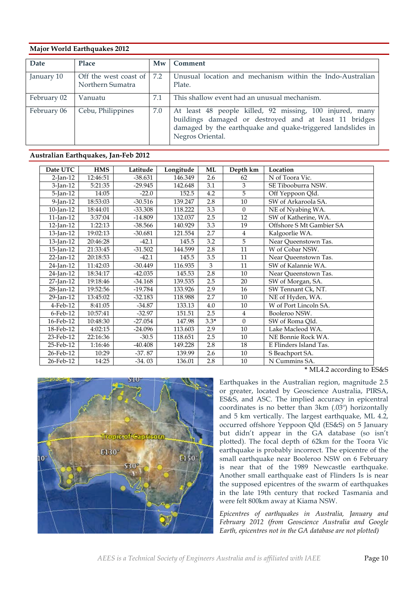# **Major World Earthquakes 2012**

| Date        | Place                                                 | Mw  | Comment                                                                                                                                                                                               |
|-------------|-------------------------------------------------------|-----|-------------------------------------------------------------------------------------------------------------------------------------------------------------------------------------------------------|
| January 10  | Off the west coast of $\vert$ 7.2<br>Northern Sumatra |     | Unusual location and mechanism within the Indo-Australian<br>Plate.                                                                                                                                   |
| February 02 | Vanuatu                                               | 7.1 | This shallow event had an unusual mechanism.                                                                                                                                                          |
| February 06 | Cebu, Philippines                                     | 7.0 | At least 48 people killed, 92 missing, 100 injured, many<br>buildings damaged or destroyed and at least 11 bridges<br>damaged by the earthquake and quake-triggered landslides in<br>Negros Oriental. |

# **Australian Earthquakes, Jan-Feb 2012**

| Date UTC    | <b>HMS</b> | Latitude  | Longitude | ML     | Depth km       | Location                 |
|-------------|------------|-----------|-----------|--------|----------------|--------------------------|
| $2$ -Jan-12 | 12:46:51   | $-38.631$ | 146.349   | 2.6    | 62             | N of Toora Vic.          |
| $3$ -Jan-12 | 5:21:35    | $-29.945$ | 142.648   | 3.1    | 3              | SE Tibooburra NSW.       |
| 5-Jan-12    | 14:05      | $-22.0$   | 152.5     | 4.2    | 5              | Off Yeppoon Qld.         |
| 9-Jan-12    | 18:53:03   | $-30.516$ | 139.247   | 2.8    | 10             | SW of Arkaroola SA.      |
| 10-Jan-12   | 18:44:01   | $-33.308$ | 118.222   | 3.3    | $\Omega$       | NE of Nyabing WA.        |
| 11-Jan-12   | 3:37:04    | $-14.809$ | 132.037   | 2.5    | 12             | SW of Katherine, WA.     |
| 12-Jan-12   | 1:22:13    | $-38.566$ | 140.929   | 3.3    | 19             | Offshore S Mt Gambier SA |
| 13-Jan-12   | 19:02:13   | $-30.681$ | 121.554   | 2.7    | $\overline{4}$ | Kalgoorlie WA.           |
| 13-Jan-12   | 20:46:28   | $-42.1$   | 145.5     | 3.2    | 5              | Near Queenstown Tas.     |
| 15-Jan-12   | 21:33:45   | $-31.502$ | 144.599   | 2.8    | 11             | W of Cobar NSW.          |
| 22-Jan-12   | 20:18:53   | $-42.1$   | 145.5     | 3.5    | 11             | Near Queenstown Tas.     |
| 24-Jan-12   | 11:42:03   | $-30.449$ | 116.935   | 3      | 11             | SW of Kalannie WA.       |
| 24-Jan-12   | 18:34:17   | $-42.035$ | 145.53    | 2.8    | 10             | Near Queenstown Tas.     |
| 27-Jan-12   | 19:18:46   | $-34.168$ | 139.535   | 2.5    | 20             | SW of Morgan, SA.        |
| 28-Jan-12   | 19:52:56   | $-19.784$ | 133.926   | 2.9    | 16             | SW Tennant Ck, NT.       |
| 29-Jan-12   | 13:45:02   | $-32.183$ | 118.988   | 2.7    | 10             | NE of Hyden, WA.         |
| 4-Feb-12    | 8:41:05    | $-34.87$  | 133.13    | 4.0    | 10             | W of Port Lincoln SA.    |
| $6$ -Feb-12 | 10:57:41   | $-32.97$  | 151.51    | 2.5    | 4              | Booleroo NSW.            |
| 16-Feb-12   | 10:48:30   | $-27.054$ | 147.98    | $3.3*$ | $\Omega$       | SW of Roma Qld.          |
| 18-Feb-12   | 4:02:15    | $-24.096$ | 113.603   | 2.9    | 10             | Lake Macleod WA.         |
| 23-Feb-12   | 22:16:36   | $-30.5$   | 118.651   | 2.5    | 10             | NE Bonnie Rock WA.       |
| 25-Feb-12   | 1:16:46    | $-40.408$ | 149.228   | 2.8    | 18             | E Flinders Island Tas.   |
| 26-Feb-12   | 10:29      | $-37.87$  | 139.99    | 2.6    | 10             | S Beachport SA.          |
| 26-Feb-12   | 14:25      | $-34.03$  | 136.01    | 2.8    | 10             | N Cummins SA.            |



**\*** ML4.2 according to ES&S

Earthquakes in the Australian region, magnitude 2.5 or greater, located by Geoscience Australia, PIRSA, ES&S, and ASC. The implied accuracy in epicentral coordinates is no better than 3km (.03º) horizontally and 5 km vertically. The largest earthquake, ML 4.2, occurred offshore Yeppoon Qld (ES&S) on 5 January but didn't appear in the GA database (so isn't plotted). The focal depth of 62km for the Toora Vic earthquake is probably incorrect. The epicentre of the small earthquake near Booleroo NSW on 6 February is near that of the 1989 Newcastle earthquake. Another small earthquake east of Flinders Is is near the supposed epicentres of the swarm of earthquakes in the late 19th century that rocked Tasmania and were felt 800km away at Kiama NSW.

*Epicentres of earthquakes in Australia, January and February 2012 (from Geoscience Australia and Google Earth, epicentres not in the GA database are not plotted)*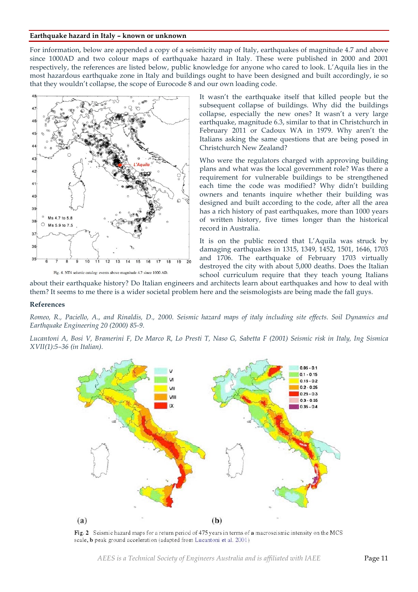#### **Earthquake hazard in Italy – known or unknown**

For information, below are appended a copy of a seismicity map of Italy, earthquakes of magnitude 4.7 and above since 1000AD and two colour maps of earthquake hazard in Italy. These were published in 2000 and 2001 respectively, the references are listed below, public knowledge for anyone who cared to look. L'Aquila lies in the most hazardous earthquake zone in Italy and buildings ought to have been designed and built accordingly, ie so that they wouldn't collapse, the scope of Eurocode 8 and our own loading code.



Fig. 4. NT4 seismic catalog: events above magnitude 4.7 since 1000 AD.

It wasn't the earthquake itself that killed people but the subsequent collapse of buildings. Why did the buildings collapse, especially the new ones? It wasn't a very large earthquake, magnitude 6.3, similar to that in Christchurch in February 2011 or Cadoux WA in 1979. Why aren't the Italians asking the same questions that are being posed in Christchurch New Zealand?

Who were the regulators charged with approving building plans and what was the local government role? Was there a requirement for vulnerable buildings to be strengthened each time the code was modified? Why didn't building owners and tenants inquire whether their building was designed and built according to the code, after all the area has a rich history of past earthquakes, more than 1000 years of written history, five times longer than the historical record in Australia.

It is on the public record that L'Aquila was struck by damaging earthquakes in 1315, 1349, 1452, 1501, 1646, 1703 and 1706. The earthquake of February 1703 virtually destroyed the city with about 5,000 deaths. Does the Italian school curriculum require that they teach young Italians

about their earthquake history? Do Italian engineers and architects learn about earthquakes and how to deal with them? It seems to me there is a wider societal problem here and the seismologists are being made the fall guys.

#### **References**

*Romeo, R., Paciello, A., and Rinaldis, D., 2000. Seismic hazard maps of italy including site effects. Soil Dynamics and Earthquake Engineering 20 (2000) 85-9.*

*Lucantoni A, Bosi V, Bramerini F, De Marco R, Lo Presti T, Naso G, Sabetta F (2001) Seismic risk in Italy, Ing Sismica XVII(1):5–36 (in Italian).*



Fig. 2 Seismic hazard maps for a return period of 475 years in terms of a macroseismic intensity on the MCS scale, b peak ground acceleration (adapted from Lucantoni et al. 2001)